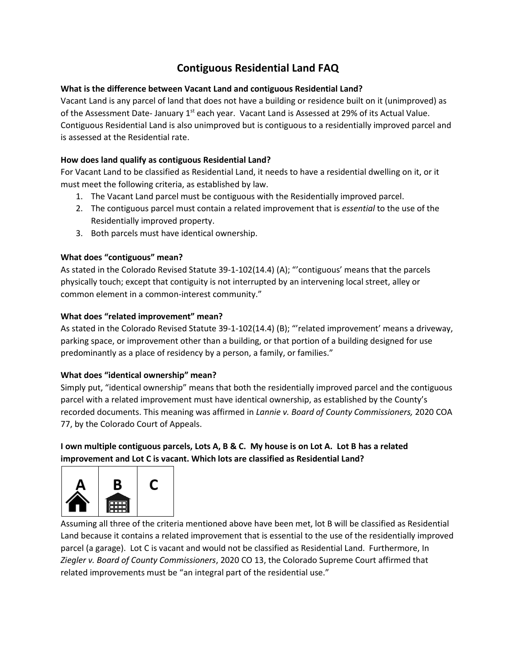# **Contiguous Residential Land FAQ**

### **What is the difference between Vacant Land and contiguous Residential Land?**

Vacant Land is any parcel of land that does not have a building or residence built on it (unimproved) as of the Assessment Date- January 1<sup>st</sup> each year. Vacant Land is Assessed at 29% of its Actual Value. Contiguous Residential Land is also unimproved but is contiguous to a residentially improved parcel and is assessed at the Residential rate.

#### **How does land qualify as contiguous Residential Land?**

For Vacant Land to be classified as Residential Land, it needs to have a residential dwelling on it, or it must meet the following criteria, as established by law.

- 1. The Vacant Land parcel must be contiguous with the Residentially improved parcel.
- 2. The contiguous parcel must contain a related improvement that is *essential* to the use of the Residentially improved property.
- 3. Both parcels must have identical ownership.

#### **What does "contiguous" mean?**

As stated in the Colorado Revised Statute 39-1-102(14.4) (A); "'contiguous' means that the parcels physically touch; except that contiguity is not interrupted by an intervening local street, alley or common element in a common-interest community."

#### **What does "related improvement" mean?**

As stated in the Colorado Revised Statute 39-1-102(14.4) (B); "'related improvement' means a driveway, parking space, or improvement other than a building, or that portion of a building designed for use predominantly as a place of residency by a person, a family, or families."

#### **What does "identical ownership" mean?**

Simply put, "identical ownership" means that both the residentially improved parcel and the contiguous parcel with a related improvement must have identical ownership, as established by the County's recorded documents. This meaning was affirmed in *Lannie v. Board of County Commissioners,* 2020 COA 77, by the Colorado Court of Appeals.

## **I own multiple contiguous parcels, Lots A, B & C. My house is on Lot A. Lot B has a related improvement and Lot C is vacant. Which lots are classified as Residential Land?**



Assuming all three of the criteria mentioned above have been met, lot B will be classified as Residential Land because it contains a related improvement that is essential to the use of the residentially improved parcel (a garage). Lot C is vacant and would not be classified as Residential Land. Furthermore, In *Ziegler v. Board of County Commissioners*, 2020 CO 13, the Colorado Supreme Court affirmed that related improvements must be "an integral part of the residential use."